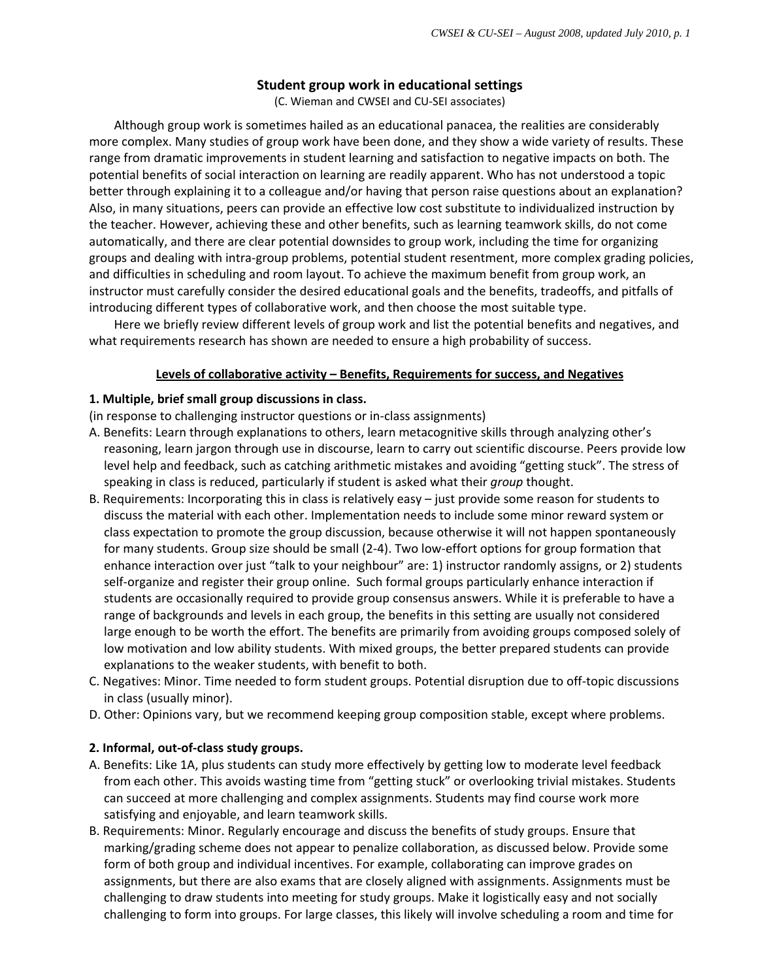### **Student group work in educational settings**

(C. Wieman and CWSEI and CU‐SEI associates)

Although group work is sometimes hailed as an educational panacea, the realities are considerably more complex. Many studies of group work have been done, and they show a wide variety of results. These range from dramatic improvements in student learning and satisfaction to negative impacts on both. The potential benefits of social interaction on learning are readily apparent. Who has not understood a topic better through explaining it to a colleague and/or having that person raise questions about an explanation? Also, in many situations, peers can provide an effective low cost substitute to individualized instruction by the teacher. However, achieving these and other benefits, such as learning teamwork skills, do not come automatically, and there are clear potential downsides to group work, including the time for organizing groups and dealing with intra‐group problems, potential student resentment, more complex grading policies, and difficulties in scheduling and room layout. To achieve the maximum benefit from group work, an instructor must carefully consider the desired educational goals and the benefits, tradeoffs, and pitfalls of introducing different types of collaborative work, and then choose the most suitable type.

Here we briefly review different levels of group work and list the potential benefits and negatives, and what requirements research has shown are needed to ensure a high probability of success.

#### **Levels of collaborative activity – Benefits, Requirements for success, and Negatives**

#### **1. Multiple, brief small group discussions in class.**

(in response to challenging instructor questions or in‐class assignments)

- A. Benefits: Learn through explanations to others, learn metacognitive skills through analyzing other's reasoning, learn jargon through use in discourse, learn to carry out scientific discourse. Peers provide low level help and feedback, such as catching arithmetic mistakes and avoiding "getting stuck". The stress of speaking in class is reduced, particularly if student is asked what their *group* thought.
- B. Requirements: Incorporating this in class is relatively easy just provide some reason for students to discuss the material with each other. Implementation needs to include some minor reward system or class expectation to promote the group discussion, because otherwise it will not happen spontaneously for many students. Group size should be small (2‐4). Two low‐effort options for group formation that enhance interaction over just "talk to your neighbour" are: 1) instructor randomly assigns, or 2) students self-organize and register their group online. Such formal groups particularly enhance interaction if students are occasionally required to provide group consensus answers. While it is preferable to have a range of backgrounds and levels in each group, the benefits in this setting are usually not considered large enough to be worth the effort. The benefits are primarily from avoiding groups composed solely of low motivation and low ability students. With mixed groups, the better prepared students can provide explanations to the weaker students, with benefit to both.
- C. Negatives: Minor. Time needed to form student groups. Potential disruption due to off‐topic discussions in class (usually minor).
- D. Other: Opinions vary, but we recommend keeping group composition stable, except where problems.

#### **2. Informal, out‐of‐class study groups.**

- A. Benefits: Like 1A, plus students can study more effectively by getting low to moderate level feedback from each other. This avoids wasting time from "getting stuck" or overlooking trivial mistakes. Students can succeed at more challenging and complex assignments. Students may find course work more satisfying and enjoyable, and learn teamwork skills.
- B. Requirements: Minor. Regularly encourage and discuss the benefits of study groups. Ensure that marking/grading scheme does not appear to penalize collaboration, as discussed below. Provide some form of both group and individual incentives. For example, collaborating can improve grades on assignments, but there are also exams that are closely aligned with assignments. Assignments must be challenging to draw students into meeting for study groups. Make it logistically easy and not socially challenging to form into groups. For large classes, this likely will involve scheduling a room and time for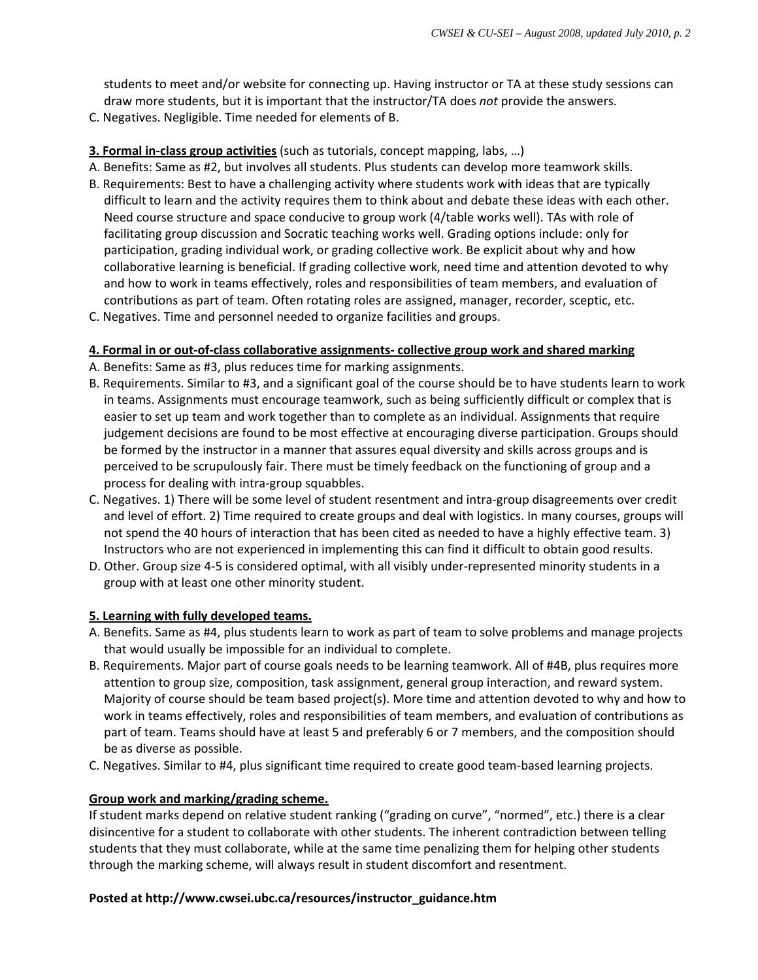students to meet and/or website for connecting up. Having instructor or TA at these study sessions can draw more students, but it is important that the instructor/TA does *not* provide the answers.

C. Negatives. Negligible. Time needed for elements of B.

# **3. Formal in‐class group activities** (such as tutorials, concept mapping, labs, …)

- A. Benefits: Same as #2, but involves all students. Plus students can develop more teamwork skills.
- B. Requirements: Best to have a challenging activity where students work with ideas that are typically difficult to learn and the activity requires them to think about and debate these ideas with each other. Need course structure and space conducive to group work (4/table works well). TAs with role of facilitating group discussion and Socratic teaching works well. Grading options include: only for participation, grading individual work, or grading collective work. Be explicit about why and how collaborative learning is beneficial. If grading collective work, need time and attention devoted to why and how to work in teams effectively, roles and responsibilities of team members, and evaluation of contributions as part of team. Often rotating roles are assigned, manager, recorder, sceptic, etc.
- C. Negatives. Time and personnel needed to organize facilities and groups.

# **4. Formal in or out‐of‐class collaborative assignments‐ collective group work and shared marking**

- A. Benefits: Same as #3, plus reduces time for marking assignments.
- B. Requirements. Similar to #3, and a significant goal of the course should be to have students learn to work in teams. Assignments must encourage teamwork, such as being sufficiently difficult or complex that is easier to set up team and work together than to complete as an individual. Assignments that require judgement decisions are found to be most effective at encouraging diverse participation. Groups should be formed by the instructor in a manner that assures equal diversity and skills across groups and is perceived to be scrupulously fair. There must be timely feedback on the functioning of group and a process for dealing with intra‐group squabbles.
- C. Negatives. 1) There will be some level of student resentment and intra‐group disagreements over credit and level of effort. 2) Time required to create groups and deal with logistics. In many courses, groups will not spend the 40 hours of interaction that has been cited as needed to have a highly effective team. 3) Instructors who are not experienced in implementing this can find it difficult to obtain good results.
- D. Other. Group size 4‐5 is considered optimal, with all visibly under‐represented minority students in a group with at least one other minority student.

### **5. Learning with fully developed teams.**

- A. Benefits. Same as #4, plus students learn to work as part of team to solve problems and manage projects that would usually be impossible for an individual to complete.
- B. Requirements. Major part of course goals needs to be learning teamwork. All of #4B, plus requires more attention to group size, composition, task assignment, general group interaction, and reward system. Majority of course should be team based project(s). More time and attention devoted to why and how to work in teams effectively, roles and responsibilities of team members, and evaluation of contributions as part of team. Teams should have at least 5 and preferably 6 or 7 members, and the composition should be as diverse as possible.
- C. Negatives. Similar to #4, plus significant time required to create good team‐based learning projects.

# **Group work and marking/grading scheme.**

If student marks depend on relative student ranking ("grading on curve", "normed", etc.) there is a clear disincentive for a student to collaborate with other students. The inherent contradiction between telling students that they must collaborate, while at the same time penalizing them for helping other students through the marking scheme, will always result in student discomfort and resentment.

### **Posted at http://www.cwsei.ubc.ca/resources/instructor\_guidance.htm**